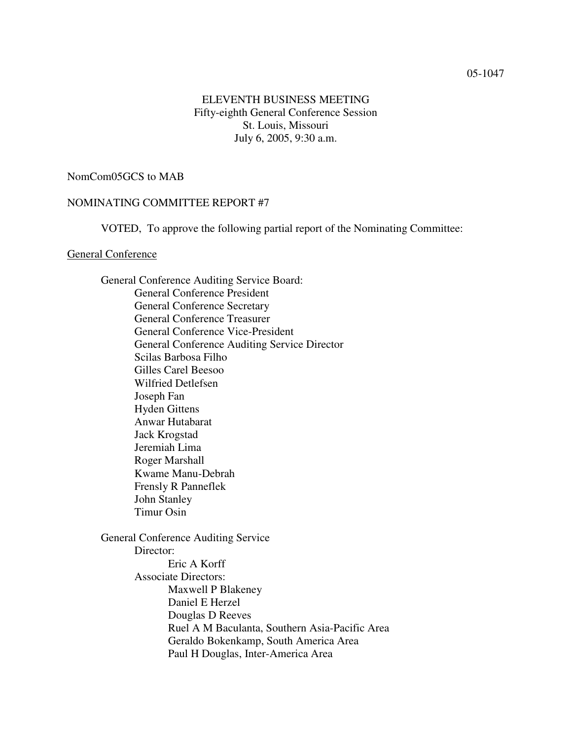### 05-1047

# ELEVENTH BUSINESS MEETING Fifty-eighth General Conference Session St. Louis, Missouri July 6, 2005, 9:30 a.m.

## NomCom05GCS to MAB

### NOMINATING COMMITTEE REPORT #7

VOTED, To approve the following partial report of the Nominating Committee:

### General Conference

General Conference Auditing Service Board: General Conference President General Conference Secretary General Conference Treasurer General Conference Vice-President General Conference Auditing Service Director Scilas Barbosa Filho Gilles Carel Beesoo Wilfried Detlefsen Joseph Fan Hyden Gittens Anwar Hutabarat Jack Krogstad Jeremiah Lima Roger Marshall Kwame Manu-Debrah Frensly R Panneflek John Stanley Timur Osin General Conference Auditing Service

Director: Eric A Korff Associate Directors: Maxwell P Blakeney Daniel E Herzel Douglas D Reeves Ruel A M Baculanta, Southern Asia-Pacific Area Geraldo Bokenkamp, South America Area Paul H Douglas, Inter-America Area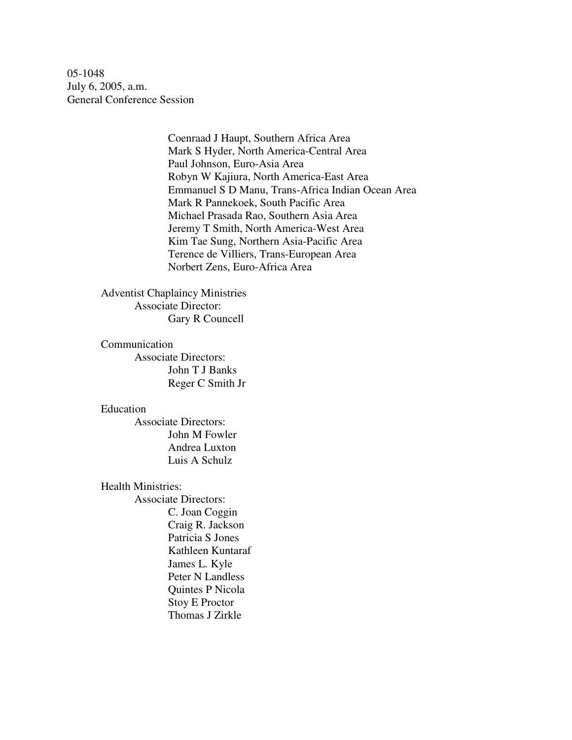05-1048 July 6, 2005, a.m. General Conference Session

> Coenraad J Haupt, Southern Africa Area Mark S Hyder, North America-Central Area Paul Johnson, Euro-Asia Area Robyn W Kajiura, North America-East Area Emmanuel S D Manu, Trans-Africa Indian Ocean Area Mark R Pannekoek, South Pacific Area Michael Prasada Rao, Southern Asia Area Jeremy T Smith, North America-West Area Kim Tae Sung, Northern Asia-Pacific Area Terence de Villiers, Trans-European Area Norbert Zens, Euro-Africa Area

Adventist Chaplaincy Ministries Associate Director: Gary R Councell

Communication Associate Directors: John T J Banks Reger C Smith Jr

#### Education

Associate Directors: John M Fowler Andrea Luxton Luis A Schulz

Health Ministries:

Associate Directors: C. Joan Coggin Craig R. Jackson Patricia S Jones Kathleen Kuntaraf James L. Kyle Peter N Landless Quintes P Nicola Stoy E Proctor Thomas J Zirkle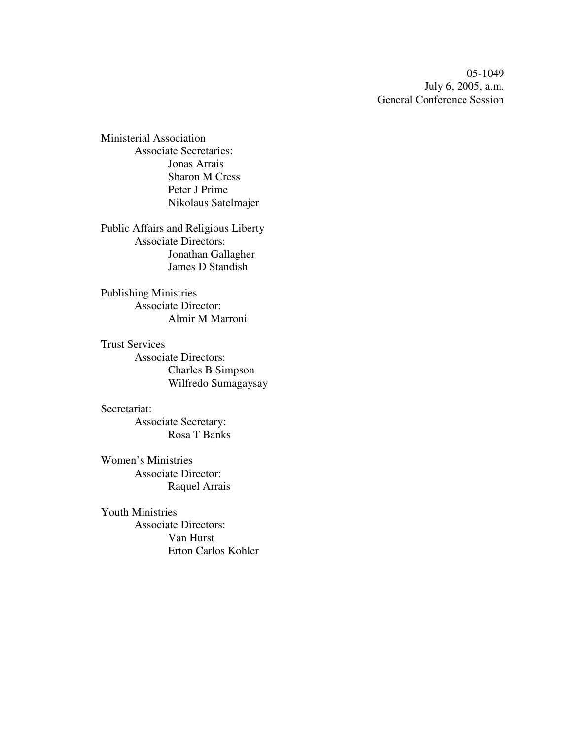05-1049 July 6, 2005, a.m. General Conference Session

Ministerial Association Associate Secretaries: Jonas Arrais Sharon M Cress Peter J Prime Nikolaus Satelmajer

Public Affairs and Religious Liberty Associate Directors: Jonathan Gallagher James D Standish

Publishing Ministries Associate Director: Almir M Marroni

Trust Services Associate Directors: Charles B Simpson Wilfredo Sumagaysay

Secretariat: Associate Secretary: Rosa T Banks

Women's Ministries Associate Director: Raquel Arrais

Youth Ministries Associate Directors: Van Hurst Erton Carlos Kohler